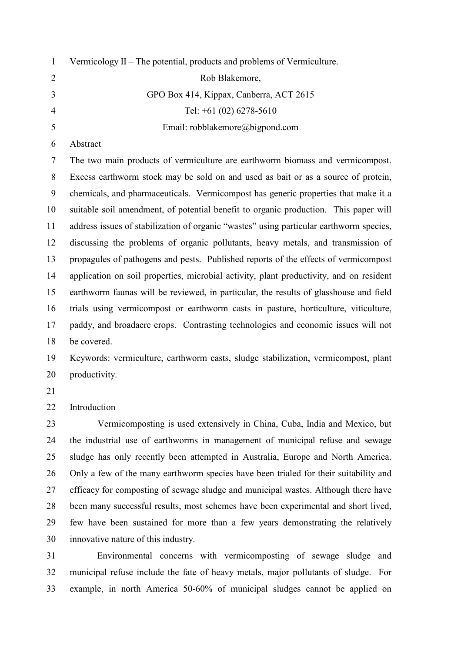| $\mathbf{1}$   | Vermicology II – The potential, products and problems of Vermiculture.                  |
|----------------|-----------------------------------------------------------------------------------------|
| $\overline{2}$ | Rob Blakemore,                                                                          |
| 3              | GPO Box 414, Kippax, Canberra, ACT 2615                                                 |
| $\overline{4}$ | Tel: $+61$ (02) 6278-5610                                                               |
| 5              | Email: robblakemore@bigpond.com                                                         |
| 6              | Abstract                                                                                |
| 7              | The two main products of vermiculture are earthworm biomass and vermicompost.           |
| 8              | Excess earthworm stock may be sold on and used as bait or as a source of protein,       |
| 9              | chemicals, and pharmaceuticals. Vermicompost has generic properties that make it a      |
| 10             | suitable soil amendment, of potential benefit to organic production. This paper will    |
| 11             | address issues of stabilization of organic "wastes" using particular earthworm species, |
| 12             | discussing the problems of organic pollutants, heavy metals, and transmission of        |
| 13             | propagules of pathogens and pests. Published reports of the effects of vermicompost     |
| 14             | application on soil properties, microbial activity, plant productivity, and on resident |
| 15             | earthworm faunas will be reviewed, in particular, the results of glasshouse and field   |
| 16             | trials using vermicompost or earthworm casts in pasture, horticulture, viticulture,     |
| 17             | paddy, and broadacre crops. Contrasting technologies and economic issues will not       |
| 18             | be covered.                                                                             |
| 19             | Keywords: vermiculture, earthworm casts, sludge stabilization, vermicompost, plant      |
| 20             | productivity.                                                                           |
| 21             |                                                                                         |
| 22             | Introduction                                                                            |
| 23             | Vermicomposting is used extensively in China, Cuba, India and Mexico, but               |
| 24             | the industrial use of earthworms in management of municipal refuse and sewage           |
| 25             | sludge has only recently been attempted in Australia, Europe and North America.         |
| 26             | Only a few of the many earthworm species have been trialed for their suitability and    |
| 27             | efficacy for composting of sewage sludge and municipal wastes. Although there have      |
| 28             | been many successful results, most schemes have been experimental and short lived,      |
| 29             | few have been sustained for more than a few years demonstrating the relatively          |

31 Environmental concerns with vermicomposting of sewage sludge and 32 municipal refuse include the fate of heavy metals, major pollutants of sludge. For 33 example, in north America 50-60% of municipal sludges cannot be applied on

30 innovative nature of this industry.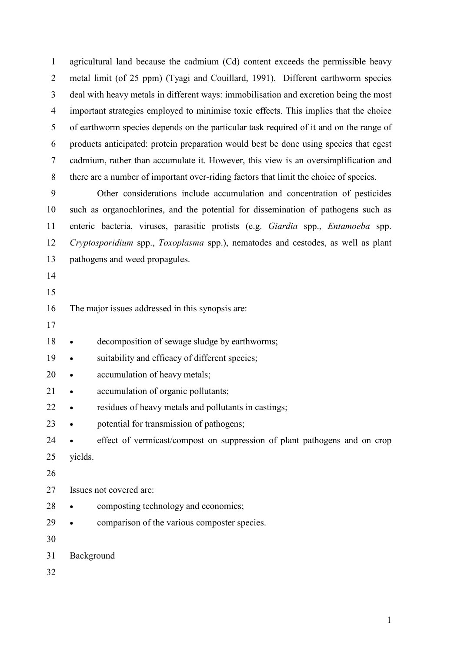1 agricultural land because the cadmium (Cd) content exceeds the permissible heavy 2 metal limit (of 25 ppm) (Tyagi and Couillard, 1991). Different earthworm species 3 deal with heavy metals in different ways: immobilisation and excretion being the most 4 important strategies employed to minimise toxic effects. This implies that the choice 5 of earthworm species depends on the particular task required of it and on the range of 6 products anticipated: protein preparation would best be done using species that egest 7 cadmium, rather than accumulate it. However, this view is an oversimplification and 8 there are a number of important over-riding factors that limit the choice of species.

9 Other considerations include accumulation and concentration of pesticides 10 such as organochlorines, and the potential for dissemination of pathogens such as 11 enteric bacteria, viruses, parasitic protists (e.g. Giardia spp., Entamoeba spp. 12 Cryptosporidium spp., Toxoplasma spp.), nematodes and cestodes, as well as plant 13 pathogens and weed propagules.

- 14
- 15

## 16 The major issues addressed in this synopsis are:

- 17
- 18 decomposition of sewage sludge by earthworms;
- 19 suitability and efficacy of different species;
- 20 accumulation of heavy metals;
- 21 accumulation of organic pollutants;
- 22 residues of heavy metals and pollutants in castings;
- 23 potential for transmission of pathogens;
- 24 effect of vermicast/compost on suppression of plant pathogens and on crop
- 25 yields.
- 26
- 27 Issues not covered are:
- 28 composting technology and economics;
- 29 comparison of the various composter species.
- 30
- 31 Background
- 32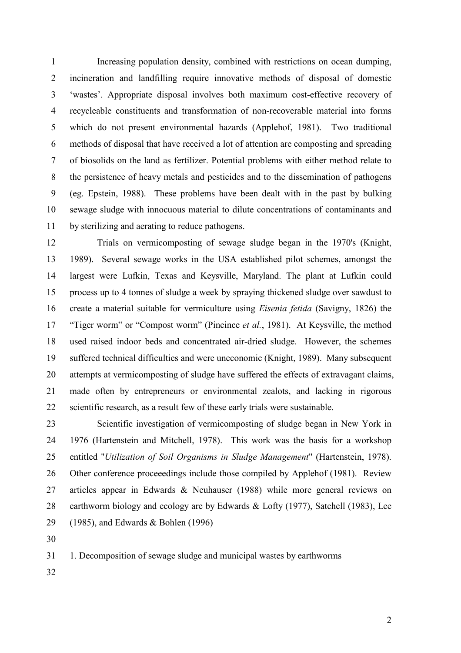1 Increasing population density, combined with restrictions on ocean dumping, 2 incineration and landfilling require innovative methods of disposal of domestic 3 'wastes'. Appropriate disposal involves both maximum cost-effective recovery of 4 recycleable constituents and transformation of non-recoverable material into forms 5 which do not present environmental hazards (Applehof, 1981). Two traditional 6 methods of disposal that have received a lot of attention are composting and spreading 7 of biosolids on the land as fertilizer. Potential problems with either method relate to 8 the persistence of heavy metals and pesticides and to the dissemination of pathogens 9 (eg. Epstein, 1988). These problems have been dealt with in the past by bulking 10 sewage sludge with innocuous material to dilute concentrations of contaminants and 11 by sterilizing and aerating to reduce pathogens.

12 Trials on vermicomposting of sewage sludge began in the 1970's (Knight, 13 1989). Several sewage works in the USA established pilot schemes, amongst the 14 largest were Lufkin, Texas and Keysville, Maryland. The plant at Lufkin could 15 process up to 4 tonnes of sludge a week by spraying thickened sludge over sawdust to 16 create a material suitable for vermiculture using Eisenia fetida (Savigny, 1826) the 17 "Tiger worm" or "Compost worm" (Pincince et al., 1981). At Keysville, the method 18 used raised indoor beds and concentrated air-dried sludge. However, the schemes 19 suffered technical difficulties and were uneconomic (Knight, 1989). Many subsequent 20 attempts at vermicomposting of sludge have suffered the effects of extravagant claims, 21 made often by entrepreneurs or environmental zealots, and lacking in rigorous 22 scientific research, as a result few of these early trials were sustainable.

23 Scientific investigation of vermicomposting of sludge began in New York in 24 1976 (Hartenstein and Mitchell, 1978). This work was the basis for a workshop 25 entitled "Utilization of Soil Organisms in Sludge Management" (Hartenstein, 1978). 26 Other conference proceeedings include those compiled by Applehof (1981). Review 27 articles appear in Edwards & Neuhauser (1988) while more general reviews on 28 earthworm biology and ecology are by Edwards & Lofty (1977), Satchell (1983), Lee 29 (1985), and Edwards & Bohlen (1996)

30

31 1. Decomposition of sewage sludge and municipal wastes by earthworms

32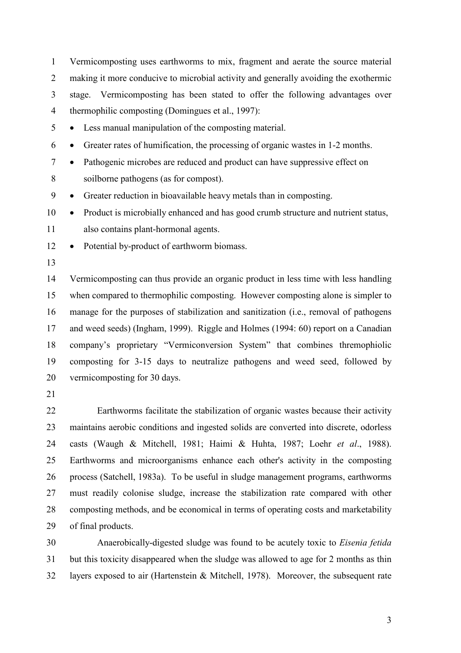1 Vermicomposting uses earthworms to mix, fragment and aerate the source material 2 making it more conducive to microbial activity and generally avoiding the exothermic 3 stage. Vermicomposting has been stated to offer the following advantages over 4 thermophilic composting (Domingues et al., 1997):

5 • Less manual manipulation of the composting material.

- 6 Greater rates of humification, the processing of organic wastes in 1-2 months.
- 7 Pathogenic microbes are reduced and product can have suppressive effect on 8 soilborne pathogens (as for compost).
- 9 Greater reduction in bioavailable heavy metals than in composting.

10 • Product is microbially enhanced and has good crumb structure and nutrient status, 11 also contains plant-hormonal agents.

- 12 Potential by-product of earthworm biomass.
- 13

14 Vermicomposting can thus provide an organic product in less time with less handling 15 when compared to thermophilic composting. However composting alone is simpler to 16 manage for the purposes of stabilization and sanitization (i.e., removal of pathogens 17 and weed seeds) (Ingham, 1999). Riggle and Holmes (1994: 60) report on a Canadian 18 company's proprietary "Vermiconversion System" that combines thremophiolic 19 composting for 3-15 days to neutralize pathogens and weed seed, followed by 20 vermicomposting for 30 days.

21

22 Earthworms facilitate the stabilization of organic wastes because their activity 23 maintains aerobic conditions and ingested solids are converted into discrete, odorless 24 casts (Waugh & Mitchell, 1981; Haimi & Huhta, 1987; Loehr et al., 1988). 25 Earthworms and microorganisms enhance each other's activity in the composting 26 process (Satchell, 1983a). To be useful in sludge management programs, earthworms 27 must readily colonise sludge, increase the stabilization rate compared with other 28 composting methods, and be economical in terms of operating costs and marketability 29 of final products.

30 Anaerobically-digested sludge was found to be acutely toxic to Eisenia fetida 31 but this toxicity disappeared when the sludge was allowed to age for 2 months as thin 32 layers exposed to air (Hartenstein & Mitchell, 1978). Moreover, the subsequent rate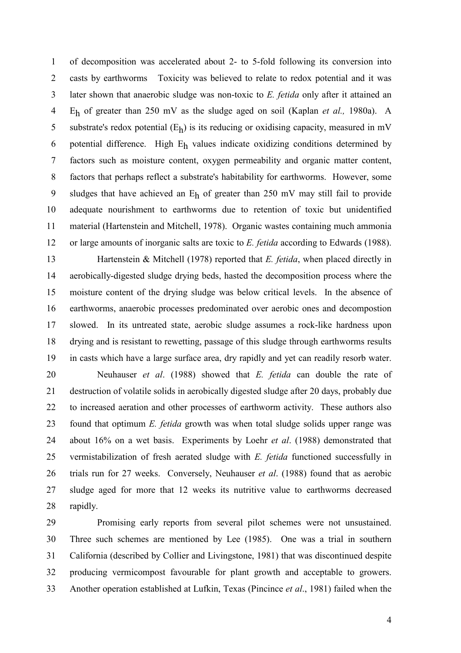1 of decomposition was accelerated about 2- to 5-fold following its conversion into 2 casts by earthworms Toxicity was believed to relate to redox potential and it was 3 later shown that anaerobic sludge was non-toxic to E. fetida only after it attained an 4 E<sub>h</sub> of greater than 250 mV as the sludge aged on soil (Kaplan et al., 1980a). A 5 substrate's redox potential  $(E_h)$  is its reducing or oxidising capacity, measured in mV 6 potential difference. High  $E_h$  values indicate oxidizing conditions determined by 7 factors such as moisture content, oxygen permeability and organic matter content, 8 factors that perhaps reflect a substrate's habitability for earthworms. However, some 9 sludges that have achieved an  $E_h$  of greater than 250 mV may still fail to provide 10 adequate nourishment to earthworms due to retention of toxic but unidentified 11 material (Hartenstein and Mitchell, 1978). Organic wastes containing much ammonia 12 or large amounts of inorganic salts are toxic to E. fetida according to Edwards (1988).

13 Hartenstein & Mitchell (1978) reported that E. fetida, when placed directly in 14 aerobically-digested sludge drying beds, hasted the decomposition process where the 15 moisture content of the drying sludge was below critical levels. In the absence of 16 earthworms, anaerobic processes predominated over aerobic ones and decompostion 17 slowed. In its untreated state, aerobic sludge assumes a rock-like hardness upon 18 drying and is resistant to rewetting, passage of this sludge through earthworms results 19 in casts which have a large surface area, dry rapidly and yet can readily resorb water.

20 Neuhauser et al. (1988) showed that E. fetida can double the rate of 21 destruction of volatile solids in aerobically digested sludge after 20 days, probably due 22 to increased aeration and other processes of earthworm activity. These authors also 23 found that optimum *E. fetida* growth was when total sludge solids upper range was 24 about 16% on a wet basis. Experiments by Loehr et al. (1988) demonstrated that 25 vermistabilization of fresh aerated sludge with *E. fetida* functioned successfully in 26 trials run for 27 weeks. Conversely, Neuhauser et al. (1988) found that as aerobic 27 sludge aged for more that 12 weeks its nutritive value to earthworms decreased 28 rapidly.

29 Promising early reports from several pilot schemes were not unsustained. 30 Three such schemes are mentioned by Lee (1985). One was a trial in southern 31 California (described by Collier and Livingstone, 1981) that was discontinued despite 32 producing vermicompost favourable for plant growth and acceptable to growers. 33 Another operation established at Lufkin, Texas (Pincince et al., 1981) failed when the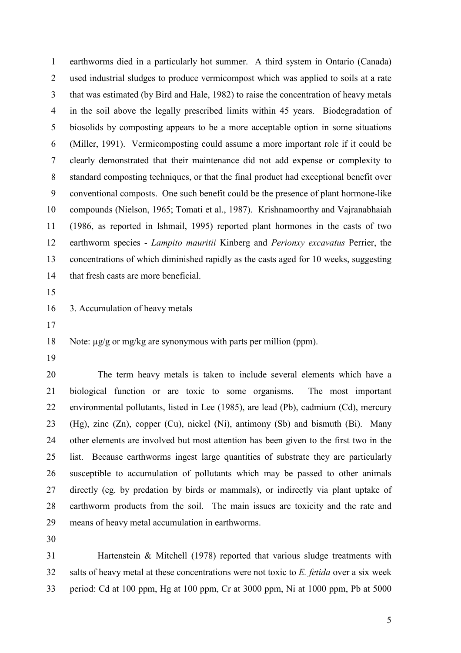1 earthworms died in a particularly hot summer. A third system in Ontario (Canada) 2 used industrial sludges to produce vermicompost which was applied to soils at a rate 3 that was estimated (by Bird and Hale, 1982) to raise the concentration of heavy metals 4 in the soil above the legally prescribed limits within 45 years. Biodegradation of 5 biosolids by composting appears to be a more acceptable option in some situations 6 (Miller, 1991). Vermicomposting could assume a more important role if it could be 7 clearly demonstrated that their maintenance did not add expense or complexity to 8 standard composting techniques, or that the final product had exceptional benefit over 9 conventional composts. One such benefit could be the presence of plant hormone-like 10 compounds (Nielson, 1965; Tomati et al., 1987). Krishnamoorthy and Vajranabhaiah 11 (1986, as reported in Ishmail, 1995) reported plant hormones in the casts of two 12 earthworm species - Lampito mauritii Kinberg and Perionxy excavatus Perrier, the 13 concentrations of which diminished rapidly as the casts aged for 10 weeks, suggesting 14 that fresh casts are more beneficial.

15

16 3. Accumulation of heavy metals

17

18 Note:  $\mu$ g/g or mg/kg are synonymous with parts per million (ppm).

19

20 The term heavy metals is taken to include several elements which have a 21 biological function or are toxic to some organisms. The most important 22 environmental pollutants, listed in Lee (1985), are lead (Pb), cadmium (Cd), mercury 23 (Hg), zinc (Zn), copper (Cu), nickel (Ni), antimony (Sb) and bismuth (Bi). Many 24 other elements are involved but most attention has been given to the first two in the 25 list. Because earthworms ingest large quantities of substrate they are particularly 26 susceptible to accumulation of pollutants which may be passed to other animals 27 directly (eg. by predation by birds or mammals), or indirectly via plant uptake of 28 earthworm products from the soil. The main issues are toxicity and the rate and 29 means of heavy metal accumulation in earthworms.

30

31 Hartenstein & Mitchell (1978) reported that various sludge treatments with  $32$  salts of heavy metal at these concentrations were not toxic to E. fetida over a six week 33 period: Cd at 100 ppm, Hg at 100 ppm, Cr at 3000 ppm, Ni at 1000 ppm, Pb at 5000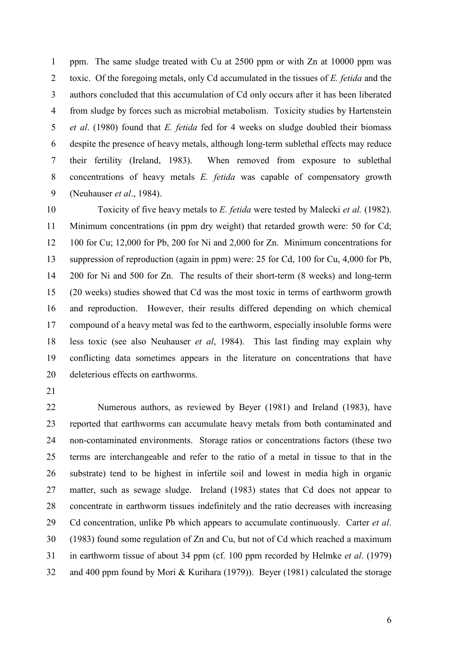1 ppm. The same sludge treated with Cu at 2500 ppm or with Zn at 10000 ppm was 2 toxic. Of the foregoing metals, only Cd accumulated in the tissues of E. fetida and the 3 authors concluded that this accumulation of Cd only occurs after it has been liberated 4 from sludge by forces such as microbial metabolism. Toxicity studies by Hartenstein 5 et al. (1980) found that *E. fetida* fed for 4 weeks on sludge doubled their biomass 6 despite the presence of heavy metals, although long-term sublethal effects may reduce 7 their fertility (Ireland, 1983). When removed from exposure to sublethal 8 concentrations of heavy metals E. fetida was capable of compensatory growth 9 (Neuhauser et al., 1984).

10 Toxicity of five heavy metals to E. fetida were tested by Malecki et al. (1982). 11 Minimum concentrations (in ppm dry weight) that retarded growth were: 50 for Cd; 12 100 for Cu; 12,000 for Pb, 200 for Ni and 2,000 for Zn. Minimum concentrations for 13 suppression of reproduction (again in ppm) were: 25 for Cd, 100 for Cu, 4,000 for Pb, 14 200 for Ni and 500 for Zn. The results of their short-term (8 weeks) and long-term 15 (20 weeks) studies showed that Cd was the most toxic in terms of earthworm growth 16 and reproduction. However, their results differed depending on which chemical 17 compound of a heavy metal was fed to the earthworm, especially insoluble forms were 18 less toxic (see also Neuhauser et al, 1984). This last finding may explain why 19 conflicting data sometimes appears in the literature on concentrations that have 20 deleterious effects on earthworms.

21

22 Numerous authors, as reviewed by Beyer (1981) and Ireland (1983), have 23 reported that earthworms can accumulate heavy metals from both contaminated and 24 non-contaminated environments. Storage ratios or concentrations factors (these two 25 terms are interchangeable and refer to the ratio of a metal in tissue to that in the 26 substrate) tend to be highest in infertile soil and lowest in media high in organic 27 matter, such as sewage sludge. Ireland (1983) states that Cd does not appear to 28 concentrate in earthworm tissues indefinitely and the ratio decreases with increasing 29 Cd concentration, unlike Pb which appears to accumulate continuously. Carter *et al.* 30 (1983) found some regulation of Zn and Cu, but not of Cd which reached a maximum 31 in earthworm tissue of about 34 ppm (cf. 100 ppm recorded by Helmke et al. (1979) 32 and 400 ppm found by Mori & Kurihara (1979)). Beyer (1981) calculated the storage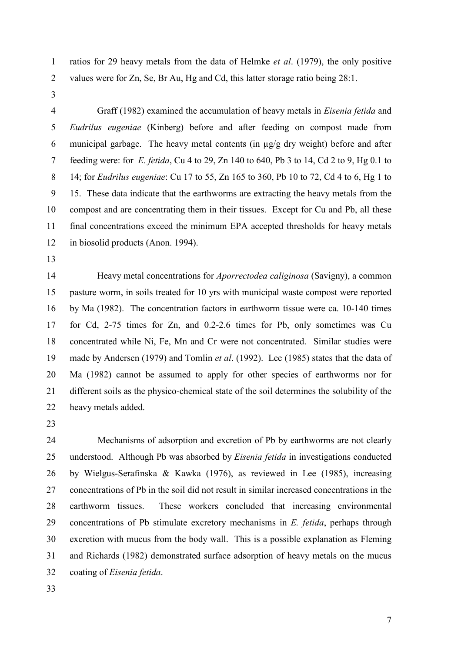1 ratios for 29 heavy metals from the data of Helmke et al. (1979), the only positive 2 values were for Zn, Se, Br Au, Hg and Cd, this latter storage ratio being 28:1.

3

4 Graff (1982) examined the accumulation of heavy metals in Eisenia fetida and 5 Eudrilus eugeniae (Kinberg) before and after feeding on compost made from 6 municipal garbage. The heavy metal contents (in µg/g dry weight) before and after 7 feeding were: for E. fetida, Cu 4 to 29, Zn 140 to 640, Pb 3 to 14, Cd 2 to 9, Hg 0.1 to 8 14; for Eudrilus eugeniae: Cu 17 to 55, Zn 165 to 360, Pb 10 to 72, Cd 4 to 6, Hg 1 to 9 15. These data indicate that the earthworms are extracting the heavy metals from the 10 compost and are concentrating them in their tissues. Except for Cu and Pb, all these 11 final concentrations exceed the minimum EPA accepted thresholds for heavy metals 12 in biosolid products (Anon. 1994).

13

14 Heavy metal concentrations for Aporrectodea caliginosa (Savigny), a common 15 pasture worm, in soils treated for 10 yrs with municipal waste compost were reported 16 by Ma (1982). The concentration factors in earthworm tissue were ca. 10-140 times 17 for Cd, 2-75 times for Zn, and 0.2-2.6 times for Pb, only sometimes was Cu 18 concentrated while Ni, Fe, Mn and Cr were not concentrated. Similar studies were 19 made by Andersen (1979) and Tomlin *et al.* (1992). Lee (1985) states that the data of 20 Ma (1982) cannot be assumed to apply for other species of earthworms nor for 21 different soils as the physico-chemical state of the soil determines the solubility of the 22 heavy metals added.

23

24 Mechanisms of adsorption and excretion of Pb by earthworms are not clearly 25 understood. Although Pb was absorbed by Eisenia fetida in investigations conducted 26 by Wielgus-Serafinska & Kawka (1976), as reviewed in Lee (1985), increasing 27 concentrations of Pb in the soil did not result in similar increased concentrations in the 28 earthworm tissues. These workers concluded that increasing environmental 29 concentrations of Pb stimulate excretory mechanisms in E. fetida, perhaps through 30 excretion with mucus from the body wall. This is a possible explanation as Fleming 31 and Richards (1982) demonstrated surface adsorption of heavy metals on the mucus 32 coating of Eisenia fetida.

33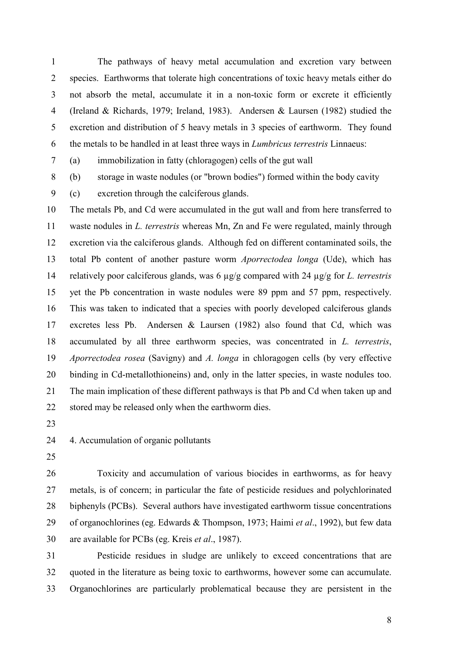1 The pathways of heavy metal accumulation and excretion vary between 2 species. Earthworms that tolerate high concentrations of toxic heavy metals either do 3 not absorb the metal, accumulate it in a non-toxic form or excrete it efficiently 4 (Ireland & Richards, 1979; Ireland, 1983). Andersen & Laursen (1982) studied the 5 excretion and distribution of 5 heavy metals in 3 species of earthworm. They found 6 the metals to be handled in at least three ways in Lumbricus terrestris Linnaeus:

7 (a) immobilization in fatty (chloragogen) cells of the gut wall

8 (b) storage in waste nodules (or "brown bodies") formed within the body cavity

9 (c) excretion through the calciferous glands.

10 The metals Pb, and Cd were accumulated in the gut wall and from here transferred to 11 waste nodules in L. terrestris whereas Mn, Zn and Fe were regulated, mainly through 12 excretion via the calciferous glands. Although fed on different contaminated soils, the 13 total Pb content of another pasture worm Aporrectodea longa (Ude), which has 14 relatively poor calciferous glands, was 6  $\mu$ g/g compared with 24  $\mu$ g/g for *L. terrestris* 15 yet the Pb concentration in waste nodules were 89 ppm and 57 ppm, respectively. 16 This was taken to indicated that a species with poorly developed calciferous glands 17 excretes less Pb. Andersen & Laursen (1982) also found that Cd, which was 18 accumulated by all three earthworm species, was concentrated in L. terrestris, 19 Aporrectodea rosea (Savigny) and A. longa in chloragogen cells (by very effective 20 binding in Cd-metallothioneins) and, only in the latter species, in waste nodules too. 21 The main implication of these different pathways is that Pb and Cd when taken up and 22 stored may be released only when the earthworm dies.

23

24 4. Accumulation of organic pollutants

25

26 Toxicity and accumulation of various biocides in earthworms, as for heavy 27 metals, is of concern; in particular the fate of pesticide residues and polychlorinated 28 biphenyls (PCBs). Several authors have investigated earthworm tissue concentrations 29 of organochlorines (eg. Edwards & Thompson, 1973; Haimi et al., 1992), but few data 30 are available for PCBs (eg. Kreis et al., 1987).

31 Pesticide residues in sludge are unlikely to exceed concentrations that are 32 quoted in the literature as being toxic to earthworms, however some can accumulate. 33 Organochlorines are particularly problematical because they are persistent in the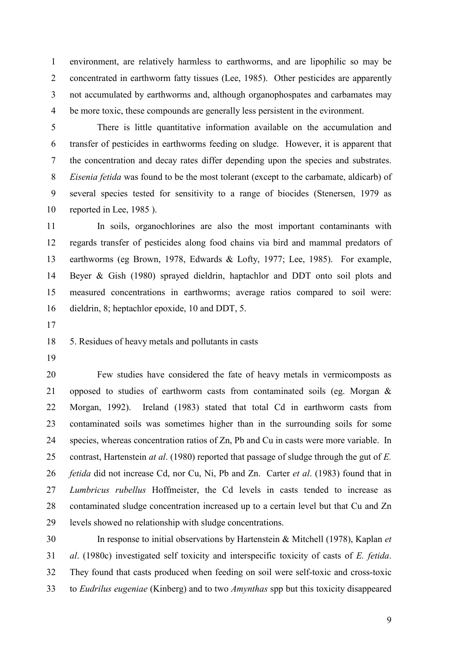1 environment, are relatively harmless to earthworms, and are lipophilic so may be 2 concentrated in earthworm fatty tissues (Lee, 1985). Other pesticides are apparently 3 not accumulated by earthworms and, although organophospates and carbamates may 4 be more toxic, these compounds are generally less persistent in the evironment.

5 There is little quantitative information available on the accumulation and 6 transfer of pesticides in earthworms feeding on sludge. However, it is apparent that 7 the concentration and decay rates differ depending upon the species and substrates. 8 Eisenia fetida was found to be the most tolerant (except to the carbamate, aldicarb) of 9 several species tested for sensitivity to a range of biocides (Stenersen, 1979 as 10 reported in Lee, 1985 ).

11 In soils, organochlorines are also the most important contaminants with 12 regards transfer of pesticides along food chains via bird and mammal predators of 13 earthworms (eg Brown, 1978, Edwards & Lofty, 1977; Lee, 1985). For example, 14 Beyer & Gish (1980) sprayed dieldrin, haptachlor and DDT onto soil plots and 15 measured concentrations in earthworms; average ratios compared to soil were: 16 dieldrin, 8; heptachlor epoxide, 10 and DDT, 5.

17

18 5. Residues of heavy metals and pollutants in casts

19

20 Few studies have considered the fate of heavy metals in vermicomposts as 21 opposed to studies of earthworm casts from contaminated soils (eg. Morgan & 22 Morgan, 1992). Ireland (1983) stated that total Cd in earthworm casts from 23 contaminated soils was sometimes higher than in the surrounding soils for some 24 species, whereas concentration ratios of Zn, Pb and Cu in casts were more variable. In 25 contrast, Hartenstein *at al.* (1980) reported that passage of sludge through the gut of E. 26 *fetida* did not increase Cd, nor Cu, Ni, Pb and Zn. Carter *et al.* (1983) found that in 27 Lumbricus rubellus Hoffmeister, the Cd levels in casts tended to increase as 28 contaminated sludge concentration increased up to a certain level but that Cu and Zn 29 levels showed no relationship with sludge concentrations.

30 In response to initial observations by Hartenstein & Mitchell (1978), Kaplan et 31 al. (1980c) investigated self toxicity and interspecific toxicity of casts of E. fetida. 32 They found that casts produced when feeding on soil were self-toxic and cross-toxic 33 to Eudrilus eugeniae (Kinberg) and to two Amynthas spp but this toxicity disappeared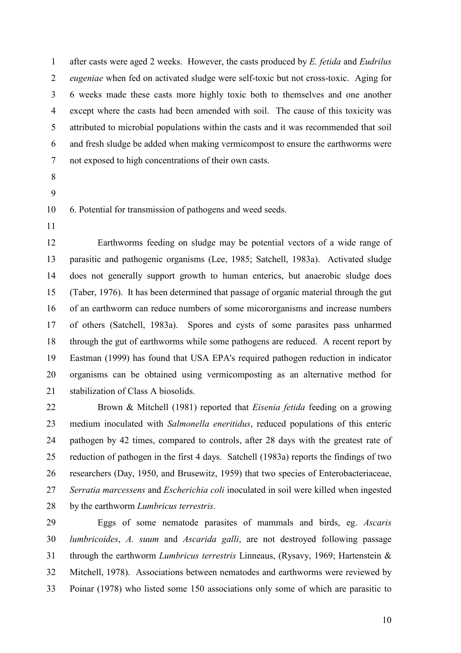1 after casts were aged 2 weeks. However, the casts produced by E. fetida and Eudrilus 2 eugeniae when fed on activated sludge were self-toxic but not cross-toxic. Aging for 3 6 weeks made these casts more highly toxic both to themselves and one another 4 except where the casts had been amended with soil. The cause of this toxicity was 5 attributed to microbial populations within the casts and it was recommended that soil 6 and fresh sludge be added when making vermicompost to ensure the earthworms were 7 not exposed to high concentrations of their own casts.

- 8
- 9

10 6. Potential for transmission of pathogens and weed seeds.

11

12 Earthworms feeding on sludge may be potential vectors of a wide range of 13 parasitic and pathogenic organisms (Lee, 1985; Satchell, 1983a). Activated sludge 14 does not generally support growth to human enterics, but anaerobic sludge does 15 (Taber, 1976). It has been determined that passage of organic material through the gut 16 of an earthworm can reduce numbers of some micororganisms and increase numbers 17 of others (Satchell, 1983a). Spores and cysts of some parasites pass unharmed 18 through the gut of earthworms while some pathogens are reduced. A recent report by 19 Eastman (1999) has found that USA EPA's required pathogen reduction in indicator 20 organisms can be obtained using vermicomposting as an alternative method for 21 stabilization of Class A biosolids.

22 Brown & Mitchell (1981) reported that Eisenia fetida feeding on a growing 23 medium inoculated with Salmonella eneritidus, reduced populations of this enteric 24 pathogen by 42 times, compared to controls, after 28 days with the greatest rate of 25 reduction of pathogen in the first 4 days. Satchell (1983a) reports the findings of two 26 researchers (Day, 1950, and Brusewitz, 1959) that two species of Enterobacteriaceae, 27 Serratia marcessens and Escherichia coli inoculated in soil were killed when ingested 28 by the earthworm *Lumbricus terrestris*.

29 Eggs of some nematode parasites of mammals and birds, eg. Ascaris 30 lumbricoides, A. suum and Ascarida galli, are not destroyed following passage 31 through the earthworm *Lumbricus terrestris* Linneaus, (Rysavy, 1969; Hartenstein & 32 Mitchell, 1978). Associations between nematodes and earthworms were reviewed by 33 Poinar (1978) who listed some 150 associations only some of which are parasitic to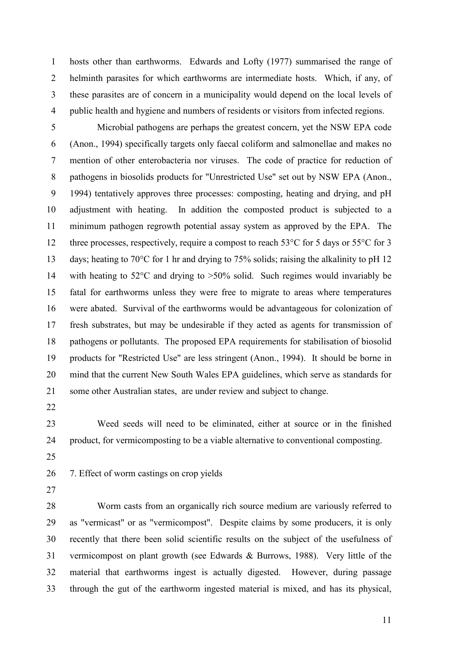1 hosts other than earthworms. Edwards and Lofty (1977) summarised the range of 2 helminth parasites for which earthworms are intermediate hosts. Which, if any, of 3 these parasites are of concern in a municipality would depend on the local levels of 4 public health and hygiene and numbers of residents or visitors from infected regions.

5 Microbial pathogens are perhaps the greatest concern, yet the NSW EPA code 6 (Anon., 1994) specifically targets only faecal coliform and salmonellae and makes no 7 mention of other enterobacteria nor viruses. The code of practice for reduction of 8 pathogens in biosolids products for "Unrestricted Use" set out by NSW EPA (Anon., 9 1994) tentatively approves three processes: composting, heating and drying, and pH 10 adjustment with heating. In addition the composted product is subjected to a 11 minimum pathogen regrowth potential assay system as approved by the EPA. The 12 three processes, respectively, require a compost to reach 53<sup>o</sup>C for 5 days or 55<sup>o</sup>C for 3 13 days; heating to 70°C for 1 hr and drying to 75% solids; raising the alkalinity to pH 12 14 with heating to 52°C and drying to >50% solid. Such regimes would invariably be 15 fatal for earthworms unless they were free to migrate to areas where temperatures 16 were abated. Survival of the earthworms would be advantageous for colonization of 17 fresh substrates, but may be undesirable if they acted as agents for transmission of 18 pathogens or pollutants. The proposed EPA requirements for stabilisation of biosolid 19 products for "Restricted Use" are less stringent (Anon., 1994). It should be borne in 20 mind that the current New South Wales EPA guidelines, which serve as standards for 21 some other Australian states, are under review and subject to change.

22

23 Weed seeds will need to be eliminated, either at source or in the finished 24 product, for vermicomposting to be a viable alternative to conventional composting.

25

26 7. Effect of worm castings on crop yields

27

28 Worm casts from an organically rich source medium are variously referred to 29 as "vermicast" or as "vermicompost". Despite claims by some producers, it is only 30 recently that there been solid scientific results on the subject of the usefulness of 31 vermicompost on plant growth (see Edwards & Burrows, 1988). Very little of the 32 material that earthworms ingest is actually digested. However, during passage 33 through the gut of the earthworm ingested material is mixed, and has its physical,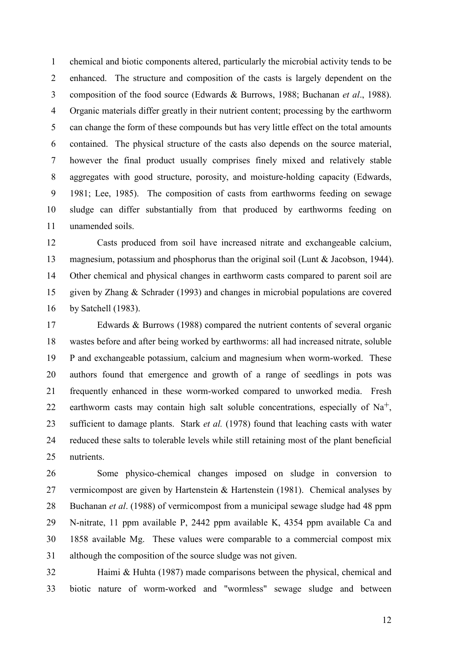1 chemical and biotic components altered, particularly the microbial activity tends to be 2 enhanced. The structure and composition of the casts is largely dependent on the 3 composition of the food source (Edwards & Burrows, 1988; Buchanan et al., 1988). 4 Organic materials differ greatly in their nutrient content; processing by the earthworm 5 can change the form of these compounds but has very little effect on the total amounts 6 contained. The physical structure of the casts also depends on the source material, 7 however the final product usually comprises finely mixed and relatively stable 8 aggregates with good structure, porosity, and moisture-holding capacity (Edwards, 9 1981; Lee, 1985). The composition of casts from earthworms feeding on sewage 10 sludge can differ substantially from that produced by earthworms feeding on 11 unamended soils.

12 Casts produced from soil have increased nitrate and exchangeable calcium, 13 magnesium, potassium and phosphorus than the original soil (Lunt & Jacobson, 1944). 14 Other chemical and physical changes in earthworm casts compared to parent soil are 15 given by Zhang & Schrader (1993) and changes in microbial populations are covered 16 by Satchell (1983).

17 Edwards & Burrows (1988) compared the nutrient contents of several organic 18 wastes before and after being worked by earthworms: all had increased nitrate, soluble 19 P and exchangeable potassium, calcium and magnesium when worm-worked. These 20 authors found that emergence and growth of a range of seedlings in pots was 21 frequently enhanced in these worm-worked compared to unworked media. Fresh 22 earthworm casts may contain high salt soluble concentrations, especially of  $Na<sup>+</sup>$ , 23 sufficient to damage plants. Stark *et al.* (1978) found that leaching casts with water 24 reduced these salts to tolerable levels while still retaining most of the plant beneficial 25 nutrients.

26 Some physico-chemical changes imposed on sludge in conversion to 27 vermicompost are given by Hartenstein & Hartenstein (1981). Chemical analyses by 28 Buchanan *et al.* (1988) of vermicompost from a municipal sewage sludge had 48 ppm 29 N-nitrate, 11 ppm available P, 2442 ppm available K, 4354 ppm available Ca and 30 1858 available Mg. These values were comparable to a commercial compost mix 31 although the composition of the source sludge was not given.

32 Haimi & Huhta (1987) made comparisons between the physical, chemical and 33 biotic nature of worm-worked and "wormless" sewage sludge and between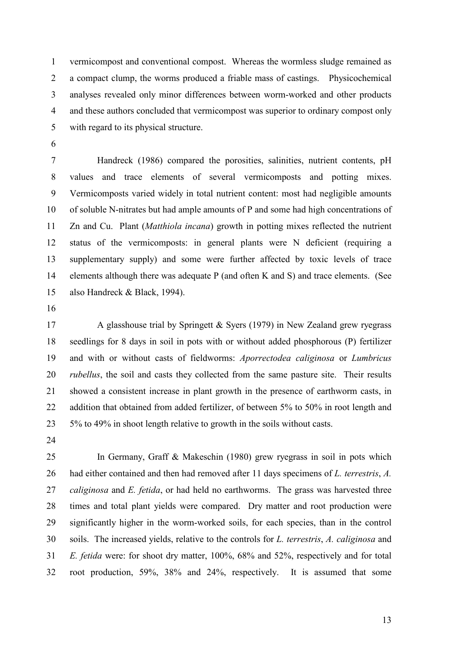1 vermicompost and conventional compost. Whereas the wormless sludge remained as 2 a compact clump, the worms produced a friable mass of castings. Physicochemical 3 analyses revealed only minor differences between worm-worked and other products 4 and these authors concluded that vermicompost was superior to ordinary compost only 5 with regard to its physical structure.

6

7 Handreck (1986) compared the porosities, salinities, nutrient contents, pH 8 values and trace elements of several vermicomposts and potting mixes. 9 Vermicomposts varied widely in total nutrient content: most had negligible amounts 10 of soluble N-nitrates but had ample amounts of P and some had high concentrations of 11 Zn and Cu. Plant (Matthiola incana) growth in potting mixes reflected the nutrient 12 status of the vermicomposts: in general plants were N deficient (requiring a 13 supplementary supply) and some were further affected by toxic levels of trace 14 elements although there was adequate P (and often K and S) and trace elements. (See 15 also Handreck & Black, 1994).

16

17 A glasshouse trial by Springett & Syers (1979) in New Zealand grew ryegrass 18 seedlings for 8 days in soil in pots with or without added phosphorous (P) fertilizer 19 and with or without casts of fieldworms: Aporrectodea caliginosa or Lumbricus 20 *rubellus*, the soil and casts they collected from the same pasture site. Their results 21 showed a consistent increase in plant growth in the presence of earthworm casts, in 22 addition that obtained from added fertilizer, of between 5% to 50% in root length and 23 5% to 49% in shoot length relative to growth in the soils without casts.

24

25 In Germany, Graff & Makeschin (1980) grew ryegrass in soil in pots which 26 had either contained and then had removed after 11 days specimens of L. terrestris, A. 27 caliginosa and E. fetida, or had held no earthworms. The grass was harvested three 28 times and total plant yields were compared. Dry matter and root production were 29 significantly higher in the worm-worked soils, for each species, than in the control 30 soils. The increased yields, relative to the controls for L. terrestris, A. caliginosa and 31 E. fetida were: for shoot dry matter, 100%, 68% and 52%, respectively and for total 32 root production, 59%, 38% and 24%, respectively. It is assumed that some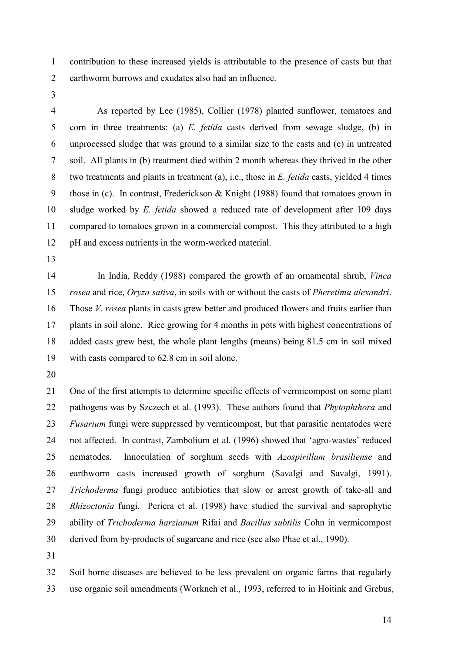1 contribution to these increased yields is attributable to the presence of casts but that 2 earthworm burrows and exudates also had an influence.

3

4 As reported by Lee (1985), Collier (1978) planted sunflower, tomatoes and 5 corn in three treatments: (a) E. fetida casts derived from sewage sludge, (b) in 6 unprocessed sludge that was ground to a similar size to the casts and (c) in untreated 7 soil. All plants in (b) treatment died within 2 month whereas they thrived in the other 8 two treatments and plants in treatment (a), i.e., those in *E. fetida* casts, yielded 4 times 9 those in (c). In contrast, Frederickson & Knight (1988) found that tomatoes grown in 10 sludge worked by *E. fetida* showed a reduced rate of development after 109 days 11 compared to tomatoes grown in a commercial compost. This they attributed to a high 12 pH and excess nutrients in the worm-worked material.

13

14 In India, Reddy (1988) compared the growth of an ornamental shrub, Vinca 15 rosea and rice, Oryza sativa, in soils with or without the casts of Pheretima alexandri. 16 Those V. rosea plants in casts grew better and produced flowers and fruits earlier than 17 plants in soil alone. Rice growing for 4 months in pots with highest concentrations of 18 added casts grew best, the whole plant lengths (means) being 81.5 cm in soil mixed 19 with casts compared to 62.8 cm in soil alone.

20

21 One of the first attempts to determine specific effects of vermicompost on some plant 22 pathogens was by Szczech et al. (1993). These authors found that *Phytophthora* and 23 Fusarium fungi were suppressed by vermicompost, but that parasitic nematodes were 24 not affected. In contrast, Zambolium et al. (1996) showed that 'agro-wastes' reduced 25 nematodes. Innoculation of sorghum seeds with Azospirillum brasiliense and 26 earthworm casts increased growth of sorghum (Savalgi and Savalgi, 1991). 27 Trichoderma fungi produce antibiotics that slow or arrest growth of take-all and 28 Rhizoctonia fungi. Periera et al. (1998) have studied the survival and saprophytic 29 ability of Trichoderma harzianum Rifai and Bacillus subtilis Cohn in vermicompost 30 derived from by-products of sugarcane and rice (see also Phae et al., 1990).

31

32 Soil borne diseases are believed to be less prevalent on organic farms that regularly 33 use organic soil amendments (Workneh et al., 1993, referred to in Hoitink and Grebus,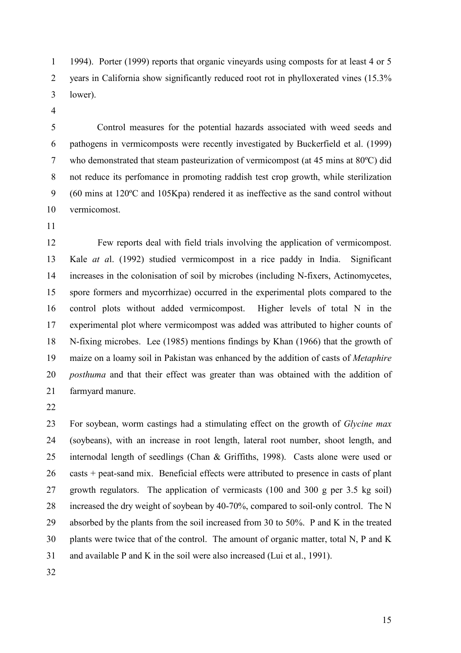1 1994). Porter (1999) reports that organic vineyards using composts for at least 4 or 5 2 years in California show significantly reduced root rot in phylloxerated vines (15.3% 3 lower).

4

5 Control measures for the potential hazards associated with weed seeds and 6 pathogens in vermicomposts were recently investigated by Buckerfield et al. (1999) 7 who demonstrated that steam pasteurization of vermicompost (at 45 mins at 80ºC) did 8 not reduce its perfomance in promoting raddish test crop growth, while sterilization 9 (60 mins at 120ºC and 105Kpa) rendered it as ineffective as the sand control without 10 vermicomost.

11

12 Few reports deal with field trials involving the application of vermicompost. 13 Kale at al. (1992) studied vermicompost in a rice paddy in India. Significant 14 increases in the colonisation of soil by microbes (including N-fixers, Actinomycetes, 15 spore formers and mycorrhizae) occurred in the experimental plots compared to the 16 control plots without added vermicompost. Higher levels of total N in the 17 experimental plot where vermicompost was added was attributed to higher counts of 18 N-fixing microbes. Lee (1985) mentions findings by Khan (1966) that the growth of 19 maize on a loamy soil in Pakistan was enhanced by the addition of casts of Metaphire 20 *posthuma* and that their effect was greater than was obtained with the addition of 21 farmyard manure.

22

23 For soybean, worm castings had a stimulating effect on the growth of Glycine max 24 (soybeans), with an increase in root length, lateral root number, shoot length, and 25 internodal length of seedlings (Chan & Griffiths, 1998). Casts alone were used or 26 casts + peat-sand mix. Beneficial effects were attributed to presence in casts of plant 27 growth regulators. The application of vermicasts (100 and 300 g per 3.5 kg soil) 28 increased the dry weight of soybean by 40-70%, compared to soil-only control. The N 29 absorbed by the plants from the soil increased from 30 to 50%. P and K in the treated 30 plants were twice that of the control. The amount of organic matter, total N, P and K 31 and available P and K in the soil were also increased (Lui et al., 1991).

32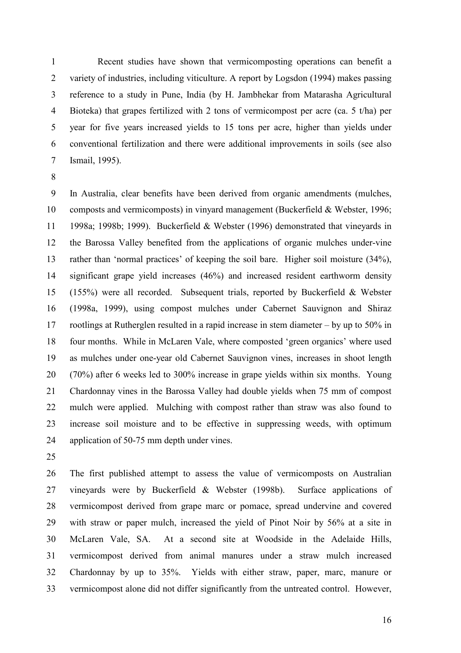1 Recent studies have shown that vermicomposting operations can benefit a 2 variety of industries, including viticulture. A report by Logsdon (1994) makes passing 3 reference to a study in Pune, India (by H. Jambhekar from Matarasha Agricultural 4 Bioteka) that grapes fertilized with 2 tons of vermicompost per acre (ca. 5 t/ha) per 5 year for five years increased yields to 15 tons per acre, higher than yields under 6 conventional fertilization and there were additional improvements in soils (see also 7 Ismail, 1995).

8

9 In Australia, clear benefits have been derived from organic amendments (mulches, 10 composts and vermicomposts) in vinyard management (Buckerfield & Webster, 1996; 11 1998a; 1998b; 1999). Buckerfield & Webster (1996) demonstrated that vineyards in 12 the Barossa Valley benefited from the applications of organic mulches under-vine 13 rather than 'normal practices' of keeping the soil bare. Higher soil moisture (34%), 14 significant grape yield increases (46%) and increased resident earthworm density 15 (155%) were all recorded. Subsequent trials, reported by Buckerfield & Webster 16 (1998a, 1999), using compost mulches under Cabernet Sauvignon and Shiraz 17 rootlings at Rutherglen resulted in a rapid increase in stem diameter – by up to 50% in 18 four months. While in McLaren Vale, where composted 'green organics' where used 19 as mulches under one-year old Cabernet Sauvignon vines, increases in shoot length 20 (70%) after 6 weeks led to 300% increase in grape yields within six months. Young 21 Chardonnay vines in the Barossa Valley had double yields when 75 mm of compost 22 mulch were applied. Mulching with compost rather than straw was also found to 23 increase soil moisture and to be effective in suppressing weeds, with optimum 24 application of 50-75 mm depth under vines.

25

26 The first published attempt to assess the value of vermicomposts on Australian 27 vineyards were by Buckerfield & Webster (1998b). Surface applications of 28 vermicompost derived from grape marc or pomace, spread undervine and covered 29 with straw or paper mulch, increased the yield of Pinot Noir by 56% at a site in 30 McLaren Vale, SA. At a second site at Woodside in the Adelaide Hills, 31 vermicompost derived from animal manures under a straw mulch increased 32 Chardonnay by up to 35%. Yields with either straw, paper, marc, manure or 33 vermicompost alone did not differ significantly from the untreated control. However,

16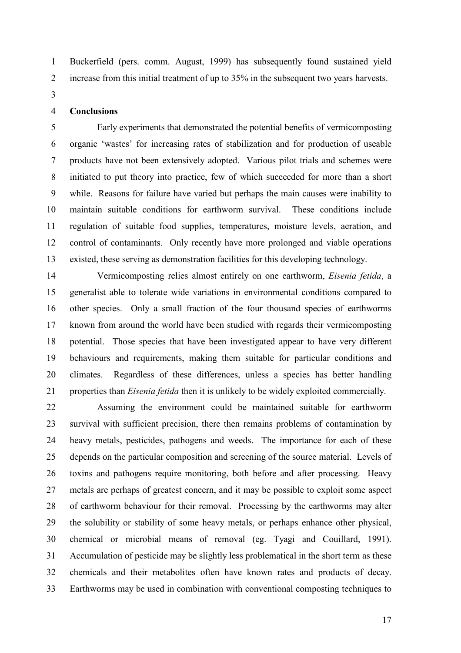1 Buckerfield (pers. comm. August, 1999) has subsequently found sustained yield 2 increase from this initial treatment of up to 35% in the subsequent two years harvests.

3

## 4 Conclusions

5 Early experiments that demonstrated the potential benefits of vermicomposting 6 organic 'wastes' for increasing rates of stabilization and for production of useable 7 products have not been extensively adopted. Various pilot trials and schemes were 8 initiated to put theory into practice, few of which succeeded for more than a short 9 while. Reasons for failure have varied but perhaps the main causes were inability to 10 maintain suitable conditions for earthworm survival. These conditions include 11 regulation of suitable food supplies, temperatures, moisture levels, aeration, and 12 control of contaminants. Only recently have more prolonged and viable operations 13 existed, these serving as demonstration facilities for this developing technology.

14 Vermicomposting relies almost entirely on one earthworm, Eisenia fetida, a 15 generalist able to tolerate wide variations in environmental conditions compared to 16 other species. Only a small fraction of the four thousand species of earthworms 17 known from around the world have been studied with regards their vermicomposting 18 potential. Those species that have been investigated appear to have very different 19 behaviours and requirements, making them suitable for particular conditions and 20 climates. Regardless of these differences, unless a species has better handling 21 properties than *Eisenia fetida* then it is unlikely to be widely exploited commercially.

22 Assuming the environment could be maintained suitable for earthworm 23 survival with sufficient precision, there then remains problems of contamination by 24 heavy metals, pesticides, pathogens and weeds. The importance for each of these 25 depends on the particular composition and screening of the source material. Levels of 26 toxins and pathogens require monitoring, both before and after processing. Heavy 27 metals are perhaps of greatest concern, and it may be possible to exploit some aspect 28 of earthworm behaviour for their removal. Processing by the earthworms may alter 29 the solubility or stability of some heavy metals, or perhaps enhance other physical, 30 chemical or microbial means of removal (eg. Tyagi and Couillard, 1991). 31 Accumulation of pesticide may be slightly less problematical in the short term as these 32 chemicals and their metabolites often have known rates and products of decay. 33 Earthworms may be used in combination with conventional composting techniques to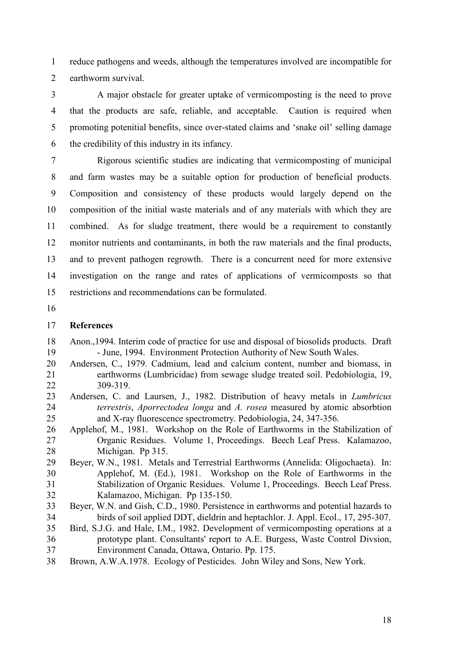1 reduce pathogens and weeds, although the temperatures involved are incompatible for 2 earthworm survival.

3 A major obstacle for greater uptake of vermicomposting is the need to prove 4 that the products are safe, reliable, and acceptable. Caution is required when 5 promoting potenitial benefits, since over-stated claims and 'snake oil' selling damage 6 the credibility of this industry in its infancy.

7 Rigorous scientific studies are indicating that vermicomposting of municipal 8 and farm wastes may be a suitable option for production of beneficial products. 9 Composition and consistency of these products would largely depend on the 10 composition of the initial waste materials and of any materials with which they are 11 combined. As for sludge treatment, there would be a requirement to constantly 12 monitor nutrients and contaminants, in both the raw materials and the final products, 13 and to prevent pathogen regrowth. There is a concurrent need for more extensive 14 investigation on the range and rates of applications of vermicomposts so that 15 restrictions and recommendations can be formulated.

16

## 17 References

- 18 Anon.,1994. Interim code of practice for use and disposal of biosolids products. Draft 19 - June, 1994. Environment Protection Authority of New South Wales.
- 20 Andersen, C., 1979. Cadmium, lead and calcium content, number and biomass, in 21 earthworms (Lumbricidae) from sewage sludge treated soil. Pedobiologia, 19, 22 309-319.
- 23 Andersen, C. and Laursen, J., 1982. Distribution of heavy metals in Lumbricus 24 terrestris, Aporrectodea longa and A. rosea measured by atomic absorbtion 25 and X-ray fluorescence spectrometry. Pedobiologia, 24, 347-356.
- 26 Applehof, M., 1981. Workshop on the Role of Earthworms in the Stabilization of 27 Organic Residues. Volume 1, Proceedings. Beech Leaf Press. Kalamazoo, 28 Michigan. Pp 315.
- 29 Beyer, W.N., 1981. Metals and Terrestrial Earthworms (Annelida: Oligochaeta). In: 30 Applehof, M. (Ed.), 1981. Workshop on the Role of Earthworms in the 31 Stabilization of Organic Residues. Volume 1, Proceedings. Beech Leaf Press. 32 Kalamazoo, Michigan. Pp 135-150.
- 33 Beyer, W.N. and Gish, C.D., 1980. Persistence in earthworms and potential hazards to 34 birds of soil applied DDT, dieldrin and heptachlor. J. Appl. Ecol., 17, 295-307.
- 35 Bird, S.J.G. and Hale, I.M., 1982. Development of vermicomposting operations at a 36 prototype plant. Consultants' report to A.E. Burgess, Waste Control Divsion, 37 Environment Canada, Ottawa, Ontario. Pp. 175.
- 38 Brown, A.W.A.1978. Ecology of Pesticides. John Wiley and Sons, New York.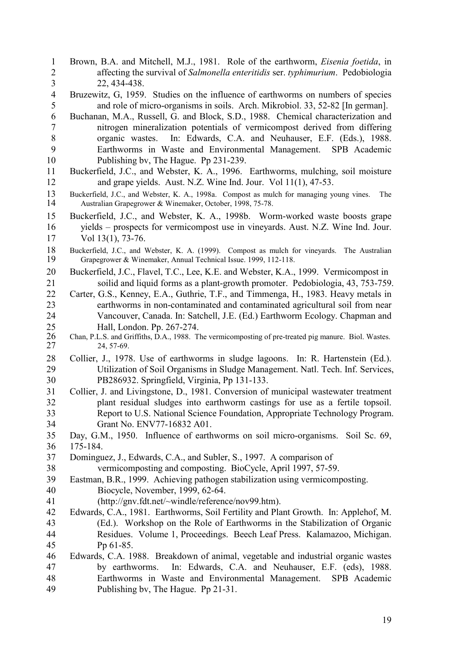- 1 Brown, B.A. and Mitchell, M.J., 1981. Role of the earthworm, Eisenia foetida, in 2 affecting the survival of Salmonella enteritidis ser. typhimurium. Pedobiologia 3 22, 434-438.
- 4 Bruzewitz, G, 1959. Studies on the influence of earthworms on numbers of species 5 and role of micro-organisms in soils. Arch. Mikrobiol. 33, 52-82 [In german].
- 6 Buchanan, M.A., Russell, G. and Block, S.D., 1988. Chemical characterization and 7 nitrogen mineralization potentials of vermicompost derived from differing 8 organic wastes. In: Edwards, C.A. and Neuhauser, E.F. (Eds.), 1988.<br>9 Earthworms in Waste and Environmental Management. SPB Academic 9 Earthworms in Waste and Environmental Management. SPB Academic 10 Publishing bv, The Hague. Pp 231-239.
- 11 Buckerfield, J.C., and Webster, K. A., 1996. Earthworms, mulching, soil moisture 12 and grape vields. Aust. N.Z. Wine Ind. Jour. Vol 11(1), 47-53.
- 13 Buckerfield, J.C., and Webster, K. A., 1998a. Compost as mulch for managing young vines. The Australian Grapegrower & Winemaker, October, 1998, 75-78. Australian Grapegrower & Winemaker, October, 1998, 75-78.
- 15 Buckerfield, J.C., and Webster, K. A., 1998b. Worm-worked waste boosts grape 16 yields – prospects for vermicompost use in vineyards. Aust. N.Z. Wine Ind. Jour. 17 Vol 13(1), 73-76.
- 18 Buckerfield, J.C., and Webster, K. A. (1999). Compost as mulch for vineyards. The Australian 19 Grapegrower & Winemaker, Annual Technical Issue. 1999, 112-118. 19 Grapegrower & Winemaker, Annual Technical Issue. 1999, 112-118.
- 20 Buckerfield, J.C., Flavel, T.C., Lee, K.E. and Webster, K.A., 1999. Vermicompost in 21 soilid and liquid forms as a plant-growth promoter. Pedobiologia, 43, 753-759.
- 22 Carter, G.S., Kenney, E.A., Guthrie, T.F., and Timmenga, H., 1983. Heavy metals in 23 earthworms in non-contaminated and contaminated agricultural soil from near 24 Vancouver, Canada. In: Satchell, J.E. (Ed.) Earthworm Ecology. Chapman and 25 Hall, London. Pp. 267-274.<br>26 Chan, P.L.S. and Griffiths, D.A., 1988. T
- 26 Chan, P.L.S. and Griffiths, D.A., 1988. The vermicomposting of pre-treated pig manure. Biol. Wastes.<br>27 24, 57-69. 27 24, 57-69.
- 28 Collier, J., 1978. Use of earthworms in sludge lagoons. In: R. Hartenstein (Ed.). 29 Utilization of Soil Organisms in Sludge Management. Natl. Tech. Inf. Services, 30 PB286932. Springfield, Virginia, Pp 131-133.
- 31 Collier, J. and Livingstone, D., 1981. Conversion of municipal wastewater treatment 32 plant residual sludges into earthworm castings for use as a fertile topsoil.<br>33 Report to U.S. National Science Foundation. Appropriate Technology Program. 33 Report to U.S. National Science Foundation, Appropriate Technology Program. 34 Grant No. ENV77-16832 A01.
- 35 Day, G.M., 1950. Influence of earthworms on soil micro-organisms. Soil Sc. 69,
- 36 175-184.
- 37 Dominguez, J., Edwards, C.A., and Subler, S., 1997. A comparison of
- 38 vermicomposting and composting. BioCycle, April 1997, 57-59.
- 39 Eastman, B.R., 1999. Achieving pathogen stabilization using vermicomposting. 40 Biocycle, November, 1999, 62-64.
- 41 (http://gnv.fdt.net/~windle/reference/nov99.htm).
- 42 Edwards, C.A., 1981. Earthworms, Soil Fertility and Plant Growth. In: Applehof, M. 43 (Ed.). Workshop on the Role of Earthworms in the Stabilization of Organic 44 Residues. Volume 1, Proceedings. Beech Leaf Press. Kalamazoo, Michigan. 45 Pp 61-85.
- 46 Edwards, C.A. 1988. Breakdown of animal, vegetable and industrial organic wastes 47 by earthworms. In: Edwards, C.A. and Neuhauser, E.F. (eds), 1988. 48 Earthworms in Waste and Environmental Management. SPB Academic 49 Publishing bv, The Hague. Pp 21-31.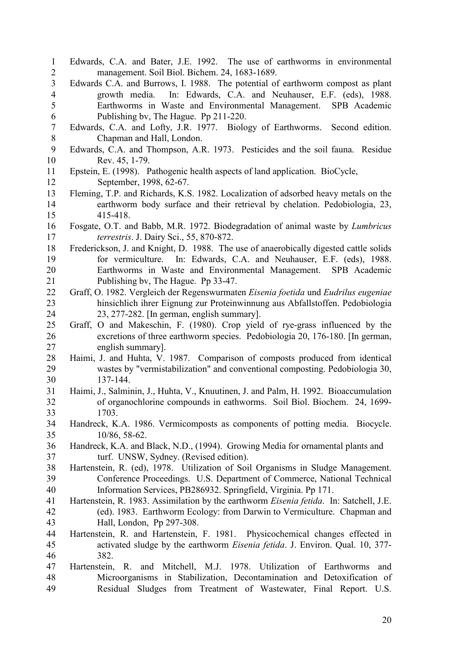1 Edwards, C.A. and Bater, J.E. 1992. The use of earthworms in environmental 2 management. Soil Biol. Bichem. 24, 1683-1689. 3 Edwards C.A. and Burrows, I. 1988. The potential of earthworm compost as plant 4 growth media. In: Edwards, C.A. and Neuhauser, E.F. (eds), 1988. 5 Earthworms in Waste and Environmental Management. SPB Academic 6 Publishing bv, The Hague. Pp 211-220. 7 Edwards, C.A. and Lofty, J.R. 1977. Biology of Earthworms. Second edition. 8 Chapman and Hall, London.<br>9 Edwards. C.A. and Thompson. A.F 9 Edwards, C.A. and Thompson, A.R. 1973. Pesticides and the soil fauna. Residue 10 Rev. 45, 1-79. 11 Epstein, E. (1998). Pathogenic health aspects of land application. BioCycle, 12 September, 1998, 62-67. 13 Fleming, T.P. and Richards, K.S. 1982. Localization of adsorbed heavy metals on the 14 earthworm body surface and their retrieval by chelation. Pedobiologia, 23, 15 415-418. 16 Fosgate, O.T. and Babb, M.R. 1972. Biodegradation of animal waste by Lumbricus 17 terrestris. J. Dairy Sci., 55, 870-872. 18 Frederickson, J. and Knight, D. 1988. The use of anaerobically digested cattle solids 19 for vermiculture. In: Edwards, C.A. and Neuhauser, E.F. (eds), 1988. 20 Earthworms in Waste and Environmental Management. SPB Academic 21 Publishing bv, The Hague. Pp 33-47. 22 Graff, O. 1982. Vergleich der Regenswurmaten Eisenia foetida und Eudrilus eugeniae 23 hinsichlich ihrer Eignung zur Proteinwinnung aus Abfallstoffen. Pedobiologia 24 23, 277-282. [In german, english summary]. 25 Graff, O and Makeschin, F. (1980). Crop yield of rye-grass influenced by the 26 excretions of three earthworm species. Pedobiologia 20, 176-180. [In german, 27 english summary]. 28 Haimi, J. and Huhta, V. 1987. Comparison of composts produced from identical 29 wastes by "vermistabilization" and conventional composting. Pedobiologia 30, 30 137-144. 31 Haimi, J., Salminin, J., Huhta, V., Knuutinen, J. and Palm, H. 1992. Bioaccumulation 32 of organochlorine compounds in eathworms. Soil Biol. Biochem. 24, 1699- 33 1703. 34 Handreck, K.A. 1986. Vermicomposts as components of potting media. Biocycle. 35 10/86, 58-62. 36 Handreck, K.A. and Black, N.D., (1994). Growing Media for ornamental plants and 37 turf. UNSW, Sydney. (Revised edition). 38 Hartenstein, R. (ed), 1978. Utilization of Soil Organisms in Sludge Management. 39 Conference Proceedings. U.S. Department of Commerce, National Technical 40 Information Services, PB286932. Springfield, Virginia. Pp 171. 41 Hartenstein, R. 1983. Assimilation by the earthworm Eisenia fetida. In: Satchell, J.E. 42 (ed). 1983. Earthworm Ecology: from Darwin to Vermiculture. Chapman and 43 Hall, London, Pp 297-308. 44 Hartenstein, R. and Hartenstein, F. 1981. Physicochemical changes effected in 45 activated sludge by the earthworm Eisenia fetida. J. Environ. Qual. 10, 377- 46 382. 47 Hartenstein, R. and Mitchell, M.J. 1978. Utilization of Earthworms and 48 Microorganisms in Stabilization, Decontamination and Detoxification of 49 Residual Sludges from Treatment of Wastewater, Final Report. U.S.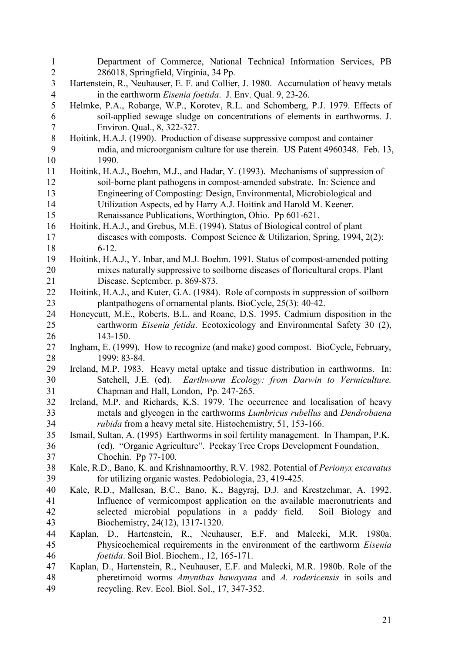| $\overline{c}$<br>286018, Springfield, Virginia, 34 Pp.<br>$\overline{3}$<br>Hartenstein, R., Neuhauser, E. F. and Collier, J. 1980. Accumulation of heavy metals<br>$\overline{\mathcal{A}}$<br>in the earthworm <i>Eisenia foetida</i> . J. Env. Qual. 9, 23-26.<br>5<br>Helmke, P.A., Robarge, W.P., Korotev, R.L. and Schomberg, P.J. 1979. Effects of<br>6<br>soil-applied sewage sludge on concentrations of elements in earthworms. J.<br>$\overline{7}$<br>Environ. Qual., 8, 322-327.<br>$\, 8$<br>Hoitink, H.A.J. (1990). Production of disease suppressive compost and container<br>9<br>mdia, and microorganism culture for use therein. US Patent 4960348. Feb. 13,<br>10<br>1990.<br>11<br>Hoitink, H.A.J., Boehm, M.J., and Hadar, Y. (1993). Mechanisms of suppression of<br>soil-borne plant pathogens in compost-amended substrate. In: Science and<br>12<br>13<br>Engineering of Composting: Design, Environmental, Microbiological and<br>14<br>Utilization Aspects, ed by Harry A.J. Hoitink and Harold M. Keener.<br>15<br>Renaissance Publications, Worthington, Ohio. Pp 601-621.<br>16<br>Hoitink, H.A.J., and Grebus, M.E. (1994). Status of Biological control of plant<br>17<br>diseases with composts. Compost Science & Utilizarion, Spring, 1994, 2(2):<br>18<br>$6-12.$<br>19<br>Hoitink, H.A.J., Y. Inbar, and M.J. Boehm. 1991. Status of compost-amended potting<br>mixes naturally suppressive to soilborne diseases of floricultural crops. Plant<br>20<br>Disease. September. p. 869-873.<br>21<br>22<br>Hoitink, H.A.J., and Kuter, G.A. (1984). Role of composts in suppression of soilborn<br>23<br>plantpathogens of ornamental plants. BioCycle, 25(3): 40-42.<br>Honeycutt, M.E., Roberts, B.L. and Roane, D.S. 1995. Cadmium disposition in the<br>24<br>25<br>earthworm Eisenia fetida. Ecotoxicology and Environmental Safety 30 (2),<br>143-150.<br>26<br>27<br>Ingham, E. (1999). How to recognize (and make) good compost. BioCycle, February,<br>1999: 83-84.<br>28<br>Ireland, M.P. 1983. Heavy metal uptake and tissue distribution in earthworms. In:<br>29 |
|-------------------------------------------------------------------------------------------------------------------------------------------------------------------------------------------------------------------------------------------------------------------------------------------------------------------------------------------------------------------------------------------------------------------------------------------------------------------------------------------------------------------------------------------------------------------------------------------------------------------------------------------------------------------------------------------------------------------------------------------------------------------------------------------------------------------------------------------------------------------------------------------------------------------------------------------------------------------------------------------------------------------------------------------------------------------------------------------------------------------------------------------------------------------------------------------------------------------------------------------------------------------------------------------------------------------------------------------------------------------------------------------------------------------------------------------------------------------------------------------------------------------------------------------------------------------------------------------------------------------------------------------------------------------------------------------------------------------------------------------------------------------------------------------------------------------------------------------------------------------------------------------------------------------------------------------------------------------------------------------------------------------------------------------------------------------------------------------------------------------|
|                                                                                                                                                                                                                                                                                                                                                                                                                                                                                                                                                                                                                                                                                                                                                                                                                                                                                                                                                                                                                                                                                                                                                                                                                                                                                                                                                                                                                                                                                                                                                                                                                                                                                                                                                                                                                                                                                                                                                                                                                                                                                                                   |
|                                                                                                                                                                                                                                                                                                                                                                                                                                                                                                                                                                                                                                                                                                                                                                                                                                                                                                                                                                                                                                                                                                                                                                                                                                                                                                                                                                                                                                                                                                                                                                                                                                                                                                                                                                                                                                                                                                                                                                                                                                                                                                                   |
|                                                                                                                                                                                                                                                                                                                                                                                                                                                                                                                                                                                                                                                                                                                                                                                                                                                                                                                                                                                                                                                                                                                                                                                                                                                                                                                                                                                                                                                                                                                                                                                                                                                                                                                                                                                                                                                                                                                                                                                                                                                                                                                   |
|                                                                                                                                                                                                                                                                                                                                                                                                                                                                                                                                                                                                                                                                                                                                                                                                                                                                                                                                                                                                                                                                                                                                                                                                                                                                                                                                                                                                                                                                                                                                                                                                                                                                                                                                                                                                                                                                                                                                                                                                                                                                                                                   |
|                                                                                                                                                                                                                                                                                                                                                                                                                                                                                                                                                                                                                                                                                                                                                                                                                                                                                                                                                                                                                                                                                                                                                                                                                                                                                                                                                                                                                                                                                                                                                                                                                                                                                                                                                                                                                                                                                                                                                                                                                                                                                                                   |
|                                                                                                                                                                                                                                                                                                                                                                                                                                                                                                                                                                                                                                                                                                                                                                                                                                                                                                                                                                                                                                                                                                                                                                                                                                                                                                                                                                                                                                                                                                                                                                                                                                                                                                                                                                                                                                                                                                                                                                                                                                                                                                                   |
|                                                                                                                                                                                                                                                                                                                                                                                                                                                                                                                                                                                                                                                                                                                                                                                                                                                                                                                                                                                                                                                                                                                                                                                                                                                                                                                                                                                                                                                                                                                                                                                                                                                                                                                                                                                                                                                                                                                                                                                                                                                                                                                   |
|                                                                                                                                                                                                                                                                                                                                                                                                                                                                                                                                                                                                                                                                                                                                                                                                                                                                                                                                                                                                                                                                                                                                                                                                                                                                                                                                                                                                                                                                                                                                                                                                                                                                                                                                                                                                                                                                                                                                                                                                                                                                                                                   |
|                                                                                                                                                                                                                                                                                                                                                                                                                                                                                                                                                                                                                                                                                                                                                                                                                                                                                                                                                                                                                                                                                                                                                                                                                                                                                                                                                                                                                                                                                                                                                                                                                                                                                                                                                                                                                                                                                                                                                                                                                                                                                                                   |
|                                                                                                                                                                                                                                                                                                                                                                                                                                                                                                                                                                                                                                                                                                                                                                                                                                                                                                                                                                                                                                                                                                                                                                                                                                                                                                                                                                                                                                                                                                                                                                                                                                                                                                                                                                                                                                                                                                                                                                                                                                                                                                                   |
|                                                                                                                                                                                                                                                                                                                                                                                                                                                                                                                                                                                                                                                                                                                                                                                                                                                                                                                                                                                                                                                                                                                                                                                                                                                                                                                                                                                                                                                                                                                                                                                                                                                                                                                                                                                                                                                                                                                                                                                                                                                                                                                   |
|                                                                                                                                                                                                                                                                                                                                                                                                                                                                                                                                                                                                                                                                                                                                                                                                                                                                                                                                                                                                                                                                                                                                                                                                                                                                                                                                                                                                                                                                                                                                                                                                                                                                                                                                                                                                                                                                                                                                                                                                                                                                                                                   |
|                                                                                                                                                                                                                                                                                                                                                                                                                                                                                                                                                                                                                                                                                                                                                                                                                                                                                                                                                                                                                                                                                                                                                                                                                                                                                                                                                                                                                                                                                                                                                                                                                                                                                                                                                                                                                                                                                                                                                                                                                                                                                                                   |
|                                                                                                                                                                                                                                                                                                                                                                                                                                                                                                                                                                                                                                                                                                                                                                                                                                                                                                                                                                                                                                                                                                                                                                                                                                                                                                                                                                                                                                                                                                                                                                                                                                                                                                                                                                                                                                                                                                                                                                                                                                                                                                                   |
|                                                                                                                                                                                                                                                                                                                                                                                                                                                                                                                                                                                                                                                                                                                                                                                                                                                                                                                                                                                                                                                                                                                                                                                                                                                                                                                                                                                                                                                                                                                                                                                                                                                                                                                                                                                                                                                                                                                                                                                                                                                                                                                   |
|                                                                                                                                                                                                                                                                                                                                                                                                                                                                                                                                                                                                                                                                                                                                                                                                                                                                                                                                                                                                                                                                                                                                                                                                                                                                                                                                                                                                                                                                                                                                                                                                                                                                                                                                                                                                                                                                                                                                                                                                                                                                                                                   |
|                                                                                                                                                                                                                                                                                                                                                                                                                                                                                                                                                                                                                                                                                                                                                                                                                                                                                                                                                                                                                                                                                                                                                                                                                                                                                                                                                                                                                                                                                                                                                                                                                                                                                                                                                                                                                                                                                                                                                                                                                                                                                                                   |
|                                                                                                                                                                                                                                                                                                                                                                                                                                                                                                                                                                                                                                                                                                                                                                                                                                                                                                                                                                                                                                                                                                                                                                                                                                                                                                                                                                                                                                                                                                                                                                                                                                                                                                                                                                                                                                                                                                                                                                                                                                                                                                                   |
|                                                                                                                                                                                                                                                                                                                                                                                                                                                                                                                                                                                                                                                                                                                                                                                                                                                                                                                                                                                                                                                                                                                                                                                                                                                                                                                                                                                                                                                                                                                                                                                                                                                                                                                                                                                                                                                                                                                                                                                                                                                                                                                   |
|                                                                                                                                                                                                                                                                                                                                                                                                                                                                                                                                                                                                                                                                                                                                                                                                                                                                                                                                                                                                                                                                                                                                                                                                                                                                                                                                                                                                                                                                                                                                                                                                                                                                                                                                                                                                                                                                                                                                                                                                                                                                                                                   |
|                                                                                                                                                                                                                                                                                                                                                                                                                                                                                                                                                                                                                                                                                                                                                                                                                                                                                                                                                                                                                                                                                                                                                                                                                                                                                                                                                                                                                                                                                                                                                                                                                                                                                                                                                                                                                                                                                                                                                                                                                                                                                                                   |
|                                                                                                                                                                                                                                                                                                                                                                                                                                                                                                                                                                                                                                                                                                                                                                                                                                                                                                                                                                                                                                                                                                                                                                                                                                                                                                                                                                                                                                                                                                                                                                                                                                                                                                                                                                                                                                                                                                                                                                                                                                                                                                                   |
|                                                                                                                                                                                                                                                                                                                                                                                                                                                                                                                                                                                                                                                                                                                                                                                                                                                                                                                                                                                                                                                                                                                                                                                                                                                                                                                                                                                                                                                                                                                                                                                                                                                                                                                                                                                                                                                                                                                                                                                                                                                                                                                   |
|                                                                                                                                                                                                                                                                                                                                                                                                                                                                                                                                                                                                                                                                                                                                                                                                                                                                                                                                                                                                                                                                                                                                                                                                                                                                                                                                                                                                                                                                                                                                                                                                                                                                                                                                                                                                                                                                                                                                                                                                                                                                                                                   |
|                                                                                                                                                                                                                                                                                                                                                                                                                                                                                                                                                                                                                                                                                                                                                                                                                                                                                                                                                                                                                                                                                                                                                                                                                                                                                                                                                                                                                                                                                                                                                                                                                                                                                                                                                                                                                                                                                                                                                                                                                                                                                                                   |
|                                                                                                                                                                                                                                                                                                                                                                                                                                                                                                                                                                                                                                                                                                                                                                                                                                                                                                                                                                                                                                                                                                                                                                                                                                                                                                                                                                                                                                                                                                                                                                                                                                                                                                                                                                                                                                                                                                                                                                                                                                                                                                                   |
|                                                                                                                                                                                                                                                                                                                                                                                                                                                                                                                                                                                                                                                                                                                                                                                                                                                                                                                                                                                                                                                                                                                                                                                                                                                                                                                                                                                                                                                                                                                                                                                                                                                                                                                                                                                                                                                                                                                                                                                                                                                                                                                   |
|                                                                                                                                                                                                                                                                                                                                                                                                                                                                                                                                                                                                                                                                                                                                                                                                                                                                                                                                                                                                                                                                                                                                                                                                                                                                                                                                                                                                                                                                                                                                                                                                                                                                                                                                                                                                                                                                                                                                                                                                                                                                                                                   |
| 30<br>Satchell, J.E. (ed). Earthworm Ecology: from Darwin to Vermiculture.                                                                                                                                                                                                                                                                                                                                                                                                                                                                                                                                                                                                                                                                                                                                                                                                                                                                                                                                                                                                                                                                                                                                                                                                                                                                                                                                                                                                                                                                                                                                                                                                                                                                                                                                                                                                                                                                                                                                                                                                                                        |
| 31<br>Chapman and Hall, London, Pp. 247-265.                                                                                                                                                                                                                                                                                                                                                                                                                                                                                                                                                                                                                                                                                                                                                                                                                                                                                                                                                                                                                                                                                                                                                                                                                                                                                                                                                                                                                                                                                                                                                                                                                                                                                                                                                                                                                                                                                                                                                                                                                                                                      |
| 32<br>Ireland, M.P. and Richards, K.S. 1979. The occurrence and localisation of heavy                                                                                                                                                                                                                                                                                                                                                                                                                                                                                                                                                                                                                                                                                                                                                                                                                                                                                                                                                                                                                                                                                                                                                                                                                                                                                                                                                                                                                                                                                                                                                                                                                                                                                                                                                                                                                                                                                                                                                                                                                             |
| metals and glycogen in the earthworms <i>Lumbricus rubellus</i> and <i>Dendrobaena</i><br>33                                                                                                                                                                                                                                                                                                                                                                                                                                                                                                                                                                                                                                                                                                                                                                                                                                                                                                                                                                                                                                                                                                                                                                                                                                                                                                                                                                                                                                                                                                                                                                                                                                                                                                                                                                                                                                                                                                                                                                                                                      |
| <i>rubida</i> from a heavy metal site. Histochemistry, 51, 153-166.<br>34                                                                                                                                                                                                                                                                                                                                                                                                                                                                                                                                                                                                                                                                                                                                                                                                                                                                                                                                                                                                                                                                                                                                                                                                                                                                                                                                                                                                                                                                                                                                                                                                                                                                                                                                                                                                                                                                                                                                                                                                                                         |
| 35<br>Ismail, Sultan, A. (1995) Earthworms in soil fertility management. In Thampan, P.K.                                                                                                                                                                                                                                                                                                                                                                                                                                                                                                                                                                                                                                                                                                                                                                                                                                                                                                                                                                                                                                                                                                                                                                                                                                                                                                                                                                                                                                                                                                                                                                                                                                                                                                                                                                                                                                                                                                                                                                                                                         |
| (ed). "Organic Agriculture". Peekay Tree Crops Development Foundation,<br>36<br>Chochin. Pp 77-100.                                                                                                                                                                                                                                                                                                                                                                                                                                                                                                                                                                                                                                                                                                                                                                                                                                                                                                                                                                                                                                                                                                                                                                                                                                                                                                                                                                                                                                                                                                                                                                                                                                                                                                                                                                                                                                                                                                                                                                                                               |
| 37<br>Kale, R.D., Bano, K. and Krishnamoorthy, R.V. 1982. Potential of Perionyx excavatus<br>38                                                                                                                                                                                                                                                                                                                                                                                                                                                                                                                                                                                                                                                                                                                                                                                                                                                                                                                                                                                                                                                                                                                                                                                                                                                                                                                                                                                                                                                                                                                                                                                                                                                                                                                                                                                                                                                                                                                                                                                                                   |
| 39<br>for utilizing organic wastes. Pedobiologia, 23, 419-425.                                                                                                                                                                                                                                                                                                                                                                                                                                                                                                                                                                                                                                                                                                                                                                                                                                                                                                                                                                                                                                                                                                                                                                                                                                                                                                                                                                                                                                                                                                                                                                                                                                                                                                                                                                                                                                                                                                                                                                                                                                                    |
| Kale, R.D., Mallesan, B.C., Bano, K., Bagyraj, D.J. and Krestzchmar, A. 1992.<br>40                                                                                                                                                                                                                                                                                                                                                                                                                                                                                                                                                                                                                                                                                                                                                                                                                                                                                                                                                                                                                                                                                                                                                                                                                                                                                                                                                                                                                                                                                                                                                                                                                                                                                                                                                                                                                                                                                                                                                                                                                               |
| 41<br>Influence of vermicompost application on the available macronutrients and                                                                                                                                                                                                                                                                                                                                                                                                                                                                                                                                                                                                                                                                                                                                                                                                                                                                                                                                                                                                                                                                                                                                                                                                                                                                                                                                                                                                                                                                                                                                                                                                                                                                                                                                                                                                                                                                                                                                                                                                                                   |
| selected microbial populations in a paddy field. Soil Biology and<br>42                                                                                                                                                                                                                                                                                                                                                                                                                                                                                                                                                                                                                                                                                                                                                                                                                                                                                                                                                                                                                                                                                                                                                                                                                                                                                                                                                                                                                                                                                                                                                                                                                                                                                                                                                                                                                                                                                                                                                                                                                                           |
| Biochemistry, 24(12), 1317-1320.<br>43                                                                                                                                                                                                                                                                                                                                                                                                                                                                                                                                                                                                                                                                                                                                                                                                                                                                                                                                                                                                                                                                                                                                                                                                                                                                                                                                                                                                                                                                                                                                                                                                                                                                                                                                                                                                                                                                                                                                                                                                                                                                            |
| Kaplan, D., Hartenstein, R., Neuhauser, E.F. and Malecki, M.R. 1980a.<br>44                                                                                                                                                                                                                                                                                                                                                                                                                                                                                                                                                                                                                                                                                                                                                                                                                                                                                                                                                                                                                                                                                                                                                                                                                                                                                                                                                                                                                                                                                                                                                                                                                                                                                                                                                                                                                                                                                                                                                                                                                                       |
|                                                                                                                                                                                                                                                                                                                                                                                                                                                                                                                                                                                                                                                                                                                                                                                                                                                                                                                                                                                                                                                                                                                                                                                                                                                                                                                                                                                                                                                                                                                                                                                                                                                                                                                                                                                                                                                                                                                                                                                                                                                                                                                   |
|                                                                                                                                                                                                                                                                                                                                                                                                                                                                                                                                                                                                                                                                                                                                                                                                                                                                                                                                                                                                                                                                                                                                                                                                                                                                                                                                                                                                                                                                                                                                                                                                                                                                                                                                                                                                                                                                                                                                                                                                                                                                                                                   |
| 45<br>Physicochemical requirements in the environment of the earthworm <i>Eisenia</i>                                                                                                                                                                                                                                                                                                                                                                                                                                                                                                                                                                                                                                                                                                                                                                                                                                                                                                                                                                                                                                                                                                                                                                                                                                                                                                                                                                                                                                                                                                                                                                                                                                                                                                                                                                                                                                                                                                                                                                                                                             |
| foetida. Soil Biol. Biochem., 12, 165-171.<br>46                                                                                                                                                                                                                                                                                                                                                                                                                                                                                                                                                                                                                                                                                                                                                                                                                                                                                                                                                                                                                                                                                                                                                                                                                                                                                                                                                                                                                                                                                                                                                                                                                                                                                                                                                                                                                                                                                                                                                                                                                                                                  |
| 47<br>Kaplan, D., Hartenstein, R., Neuhauser, E.F. and Malecki, M.R. 1980b. Role of the<br>48<br>pheretimoid worms Amynthas hawayana and A. rodericensis in soils and                                                                                                                                                                                                                                                                                                                                                                                                                                                                                                                                                                                                                                                                                                                                                                                                                                                                                                                                                                                                                                                                                                                                                                                                                                                                                                                                                                                                                                                                                                                                                                                                                                                                                                                                                                                                                                                                                                                                             |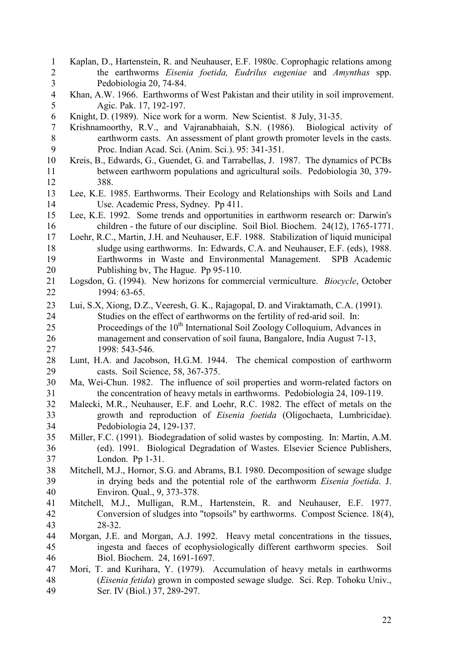1 Kaplan, D., Hartenstein, R. and Neuhauser, E.F. 1980c. Coprophagic relations among 2 the earthworms Eisenia foetida, Eudrilus eugeniae and Amynthas spp. 3 Pedobiologia 20, 74-84. 4 Khan, A.W. 1966. Earthworms of West Pakistan and their utility in soil improvement. 5 Agic. Pak. 17, 192-197. 6 Knight, D. (1989). Nice work for a worm. New Scientist. 8 July, 31-35. 7 Krishnamoorthy, R.V., and Vajranabhaiah, S.N. (1986). Biological activity of 8 earthworm casts. An assessment of plant growth promoter levels in the casts.<br>9 Proc. Indian Acad. Sci. (Anim. Sci.). 95: 341-351. 9 Proc. Indian Acad. Sci. (Anim. Sci.). 95: 341-351. 10 Kreis, B., Edwards, G., Guendet, G. and Tarrabellas, J. 1987. The dynamics of PCBs 11 between earthworm populations and agricultural soils. Pedobiologia 30, 379- 12 388. 13 Lee, K.E. 1985. Earthworms. Their Ecology and Relationships with Soils and Land 14 Use. Academic Press, Sydney. Pp 411. 15 Lee, K.E. 1992. Some trends and opportunities in earthworm research or: Darwin's 16 children - the future of our discipline. Soil Biol. Biochem. 24(12), 1765-1771. 17 Loehr, R.C., Martin, J.H. and Neuhauser, E.F. 1988. Stabilization of liquid municipal 18 sludge using earthworms. In: Edwards, C.A. and Neuhauser, E.F. (eds), 1988. 19 Earthworms in Waste and Environmental Management. SPB Academic 20 Publishing bv, The Hague. Pp 95-110. 21 Logsdon, G. (1994). New horizons for commercial vermiculture. *Biocycle*, October 22 1994: 63-65. 23 Lui, S.X, Xiong, D.Z., Veeresh, G. K., Rajagopal, D. and Viraktamath, C.A. (1991). 24 Studies on the effect of earthworms on the fertility of red-arid soil. In: 25 Proceedings of the  $10<sup>th</sup>$  International Soil Zoology Colloquium, Advances in 26 management and conservation of soil fauna, Bangalore, India August 7-13, 27 1998: 543-546. 28 Lunt, H.A. and Jacobson, H.G.M. 1944. The chemical compostion of earthworm 29 casts. Soil Science, 58, 367-375. 30 Ma, Wei-Chun. 1982. The influence of soil properties and worm-related factors on 31 the concentration of heavy metals in earthworms. Pedobiologia 24, 109-119. 32 Malecki, M.R., Neuhauser, E.F. and Loehr, R.C. 1982. The effect of metals on the 33 growth and reproduction of Eisenia foetida (Oligochaeta, Lumbricidae). 34 Pedobiologia 24, 129-137. 35 Miller, F.C. (1991). Biodegradation of solid wastes by composting. In: Martin, A.M. 36 (ed). 1991. Biological Degradation of Wastes. Elsevier Science Publishers, 37 London. Pp 1-31. 38 Mitchell, M.J., Hornor, S.G. and Abrams, B.I. 1980. Decomposition of sewage sludge 39 in drying beds and the potential role of the earthworm Eisenia foetida. J. 40 Environ. Qual., 9, 373-378. 41 Mitchell, M.J., Mulligan, R.M., Hartenstein, R. and Neuhauser, E.F. 1977. 42 Conversion of sludges into "topsoils" by earthworms. Compost Science. 18(4), 43 28-32. 44 Morgan, J.E. and Morgan, A.J. 1992. Heavy metal concentrations in the tissues, 45 ingesta and faeces of ecophysiologically different earthworm species. Soil 46 Biol. Biochem. 24, 1691-1697. 47 Mori, T. and Kurihara, Y. (1979). Accumulation of heavy metals in earthworms 48 (Eisenia fetida) grown in composted sewage sludge. Sci. Rep. Tohoku Univ., 49 Ser. IV (Biol.) 37, 289-297.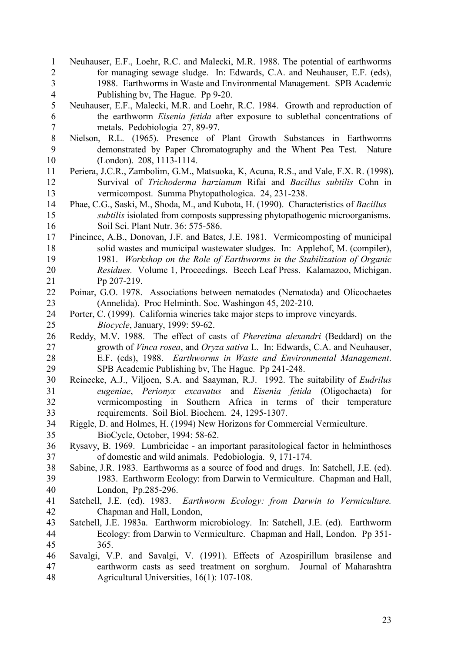1 Neuhauser, E.F., Loehr, R.C. and Malecki, M.R. 1988. The potential of earthworms 2 for managing sewage sludge. In: Edwards, C.A. and Neuhauser, E.F. (eds), 3 1988. Earthworms in Waste and Environmental Management. SPB Academic 4 Publishing bv, The Hague. Pp 9-20. 5 Neuhauser, E.F., Malecki, M.R. and Loehr, R.C. 1984. Growth and reproduction of 6 the earthworm Eisenia fetida after exposure to sublethal concentrations of 7 metals. Pedobiologia 27, 89-97. 8 Nielson, R.L. (1965). Presence of Plant Growth Substances in Earthworms 9 demonstrated by Paper Chromatography and the Whent Pea Test. Nature 10 (London). 208, 1113-1114. 11 Periera, J.C.R., Zambolim, G.M., Matsuoka, K, Acuna, R.S., and Vale, F.X. R. (1998). 12 Survival of Trichoderma harzianum Rifai and Bacillus subtilis Cohn in 13 vermicompost. Summa Phytopathologica. 24, 231-238. 14 Phae, C.G., Saski, M., Shoda, M., and Kubota, H. (1990). Characteristics of Bacillus 15 subtilis isiolated from composts suppressing phytopathogenic microorganisms. 16 Soil Sci. Plant Nutr. 36: 575-586. 17 Pincince, A.B., Donovan, J.F. and Bates, J.E. 1981. Vermicomposting of municipal 18 solid wastes and municipal wastewater sludges. In: Applehof, M. (compiler), 19 1981. Workshop on the Role of Earthworms in the Stabilization of Organic 20 Residues. Volume 1, Proceedings. Beech Leaf Press. Kalamazoo, Michigan. 21 Pp 207-219. 22 Poinar, G.O. 1978. Associations between nematodes (Nematoda) and Olicochaetes 23 (Annelida). Proc Helminth. Soc. Washingon 45, 202-210. 24 Porter, C. (1999). California wineries take major steps to improve vineyards. 25 Biocycle, January, 1999: 59-62. 26 Reddy, M.V. 1988. The effect of casts of Pheretima alexandri (Beddard) on the 27 growth of Vinca rosea, and Oryza sativa L. In: Edwards, C.A. and Neuhauser, 28 E.F. (eds), 1988. Earthworms in Waste and Environmental Management. 29 SPB Academic Publishing bv, The Hague. Pp 241-248. 30 Reinecke, A.J., Viljoen, S.A. and Saayman, R.J. 1992. The suitability of Eudrilus 31 eugeniae, Perionyx excavatus and Eisenia fetida (Oligochaeta) for 32 vermicomposting in Southern Africa in terms of their temperature 33 requirements. Soil Biol. Biochem. 24, 1295-1307. 34 Riggle, D. and Holmes, H. (1994) New Horizons for Commercial Vermiculture. 35 BioCycle, October, 1994: 58-62. 36 Rysavy, B. 1969. Lumbricidae - an important parasitological factor in helminthoses 37 of domestic and wild animals. Pedobiologia. 9, 171-174. 38 Sabine, J.R. 1983. Earthworms as a source of food and drugs. In: Satchell, J.E. (ed). 39 1983. Earthworm Ecology: from Darwin to Vermiculture. Chapman and Hall, 40 London, Pp.285-296. 41 Satchell, J.E. (ed). 1983. Earthworm Ecology: from Darwin to Vermiculture. 42 Chapman and Hall, London,<br>43 Satchell J E 1983a Farthworm n Satchell, J.E. 1983a. Earthworm microbiology. In: Satchell, J.E. (ed). Earthworm 44 Ecology: from Darwin to Vermiculture. Chapman and Hall, London. Pp 351- 45 365. 46 Savalgi, V.P. and Savalgi, V. (1991). Effects of Azospirillum brasilense and 47 earthworm casts as seed treatment on sorghum. Journal of Maharashtra 48 Agricultural Universities, 16(1): 107-108.